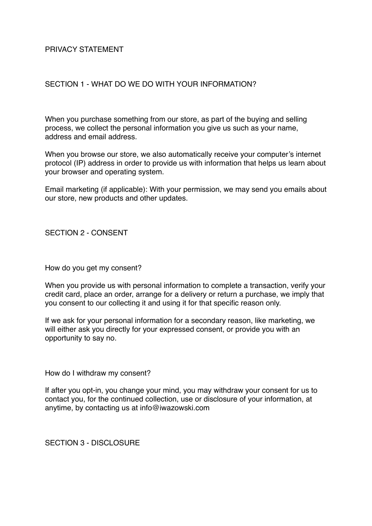## PRIVACY STATEMENT

### SECTION 1 - WHAT DO WE DO WITH YOUR INFORMATION?

When you purchase something from our store, as part of the buying and selling process, we collect the personal information you give us such as your name, address and email address.

When you browse our store, we also automatically receive your computer's internet protocol (IP) address in order to provide us with information that helps us learn about your browser and operating system.

Email marketing (if applicable): With your permission, we may send you emails about our store, new products and other updates.

SECTION 2 - CONSENT

How do you get my consent?

When you provide us with personal information to complete a transaction, verify your credit card, place an order, arrange for a delivery or return a purchase, we imply that you consent to our collecting it and using it for that specific reason only.

If we ask for your personal information for a secondary reason, like marketing, we will either ask you directly for your expressed consent, or provide you with an opportunity to say no.

How do I withdraw my consent?

If after you opt-in, you change your mind, you may withdraw your consent for us to contact you, for the continued collection, use or disclosure of your information, at anytime, by contacting us at info@iwazowski.com

SECTION 3 - DISCLOSURE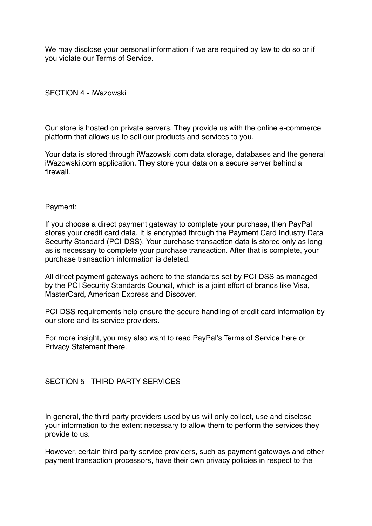We may disclose your personal information if we are required by law to do so or if you violate our Terms of Service.

### SECTION 4 - iWazowski

Our store is hosted on private servers. They provide us with the online e-commerce platform that allows us to sell our products and services to you.

Your data is stored through iWazowski.com data storage, databases and the general iWazowski.com application. They store your data on a secure server behind a firewall.

#### Payment:

If you choose a direct payment gateway to complete your purchase, then PayPal stores your credit card data. It is encrypted through the Payment Card Industry Data Security Standard (PCI-DSS). Your purchase transaction data is stored only as long as is necessary to complete your purchase transaction. After that is complete, your purchase transaction information is deleted.

All direct payment gateways adhere to the standards set by PCI-DSS as managed by the PCI Security Standards Council, which is a joint effort of brands like Visa, MasterCard, American Express and Discover.

PCI-DSS requirements help ensure the secure handling of credit card information by our store and its service providers.

For more insight, you may also want to read PayPal's Terms of Service here or Privacy Statement there.

### SECTION 5 - THIRD-PARTY SERVICES

In general, the third-party providers used by us will only collect, use and disclose your information to the extent necessary to allow them to perform the services they provide to us.

However, certain third-party service providers, such as payment gateways and other payment transaction processors, have their own privacy policies in respect to the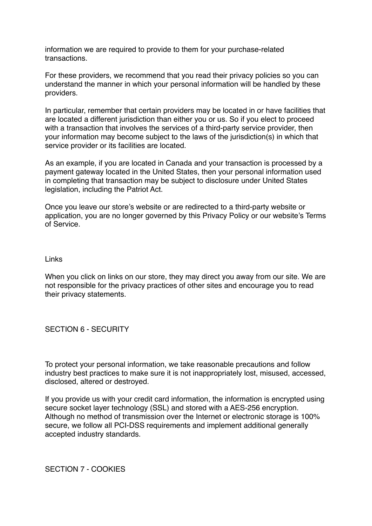information we are required to provide to them for your purchase-related transactions.

For these providers, we recommend that you read their privacy policies so you can understand the manner in which your personal information will be handled by these providers.

In particular, remember that certain providers may be located in or have facilities that are located a different jurisdiction than either you or us. So if you elect to proceed with a transaction that involves the services of a third-party service provider, then your information may become subject to the laws of the jurisdiction(s) in which that service provider or its facilities are located.

As an example, if you are located in Canada and your transaction is processed by a payment gateway located in the United States, then your personal information used in completing that transaction may be subject to disclosure under United States legislation, including the Patriot Act.

Once you leave our store's website or are redirected to a third-party website or application, you are no longer governed by this Privacy Policy or our website's Terms of Service.

Links

When you click on links on our store, they may direct you away from our site. We are not responsible for the privacy practices of other sites and encourage you to read their privacy statements.

SECTION 6 - SECURITY

To protect your personal information, we take reasonable precautions and follow industry best practices to make sure it is not inappropriately lost, misused, accessed, disclosed, altered or destroyed.

If you provide us with your credit card information, the information is encrypted using secure socket layer technology (SSL) and stored with a AES-256 encryption. Although no method of transmission over the Internet or electronic storage is 100% secure, we follow all PCI-DSS requirements and implement additional generally accepted industry standards.

SECTION 7 - COOKIES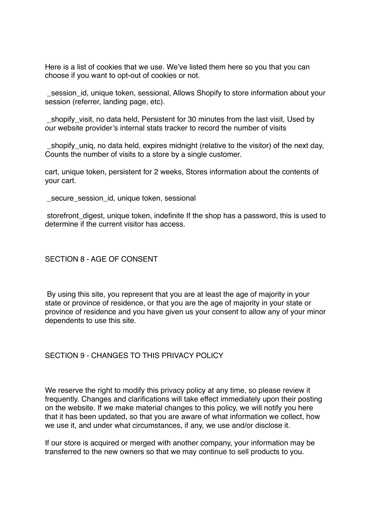Here is a list of cookies that we use. We've listed them here so you that you can choose if you want to opt-out of cookies or not.

session id, unique token, sessional, Allows Shopify to store information about your session (referrer, landing page, etc).

 \_shopify\_visit, no data held, Persistent for 30 minutes from the last visit, Used by our website provider's internal stats tracker to record the number of visits

shopify unig, no data held, expires midnight (relative to the visitor) of the next day, Counts the number of visits to a store by a single customer.

cart, unique token, persistent for 2 weeks, Stores information about the contents of your cart.

secure session id, unique token, sessional

 storefront\_digest, unique token, indefinite If the shop has a password, this is used to determine if the current visitor has access.

### SECTION 8 - AGE OF CONSENT

 By using this site, you represent that you are at least the age of majority in your state or province of residence, or that you are the age of majority in your state or province of residence and you have given us your consent to allow any of your minor dependents to use this site.

#### SECTION 9 - CHANGES TO THIS PRIVACY POLICY

We reserve the right to modify this privacy policy at any time, so please review it frequently. Changes and clarifications will take effect immediately upon their posting on the website. If we make material changes to this policy, we will notify you here that it has been updated, so that you are aware of what information we collect, how we use it, and under what circumstances, if any, we use and/or disclose it.

If our store is acquired or merged with another company, your information may be transferred to the new owners so that we may continue to sell products to you.